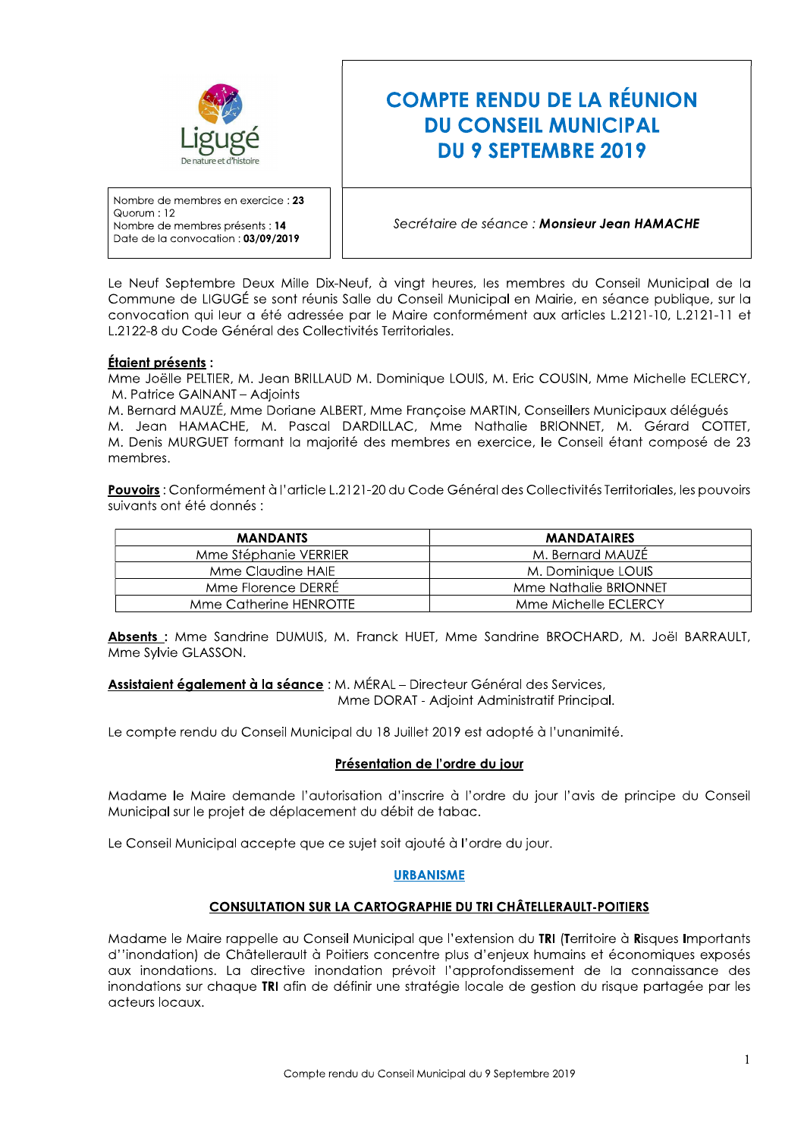

# **COMPTE RENDU DE LA RÉUNION DU CONSEIL MUNICIPAL DU 9 SEPTEMBRE 2019**

Nombre de membres en exercice : 23 Quorum: 12 Nombre de membres présents : 14 Date de la convocation : 03/09/2019

# Secrétaire de séance : Monsieur Jean HAMACHE

Le Neuf Septembre Deux Mille Dix-Neuf, à vingt heures, les membres du Conseil Municipal de la Commune de LIGUGÉ se sont réunis Salle du Conseil Municipal en Mairie, en séance publique, sur la convocation qui leur a été adressée par le Maire conformément aux articles L.2121-10, L.2121-11 et L.2122-8 du Code Général des Collectivités Territoriales.

## Étaient présents :

Mme Joëlle PELTIER, M. Jean BRILLAUD M. Dominique LOUIS, M. Eric COUSIN, Mme Michelle ECLERCY, M. Patrice GAINANT - Adjoints

M. Bernard MAUZÉ, Mme Doriane ALBERT, Mme Francoise MARTIN, Conseillers Municipaux déléqués M. Jean HAMACHE, M. Pascal DARDILLAC, Mme Nathalie BRIONNET, M. Gérard COTTET, M. Denis MURGUET formant la majorité des membres en exercice, le Conseil étant composé de 23 membres.

Pouvoirs : Conformément à l'article L.2121-20 du Code Général des Collectivités Territoriales, les pouvoirs suivants ont été donnés :

| <b>MANDANTS</b>        | <b>MANDATAIRES</b>    |
|------------------------|-----------------------|
| Mme Stéphanie VERRIER  | M. Bernard MAUZE      |
| Mme Claudine HAIE      | M. Dominiaue LOUIS    |
| Mme Florence DERRE     | Mme Nathalie BRIONNET |
| Mme Catherine HENROTTE | Mme Michelle ECLERCY  |

Absents : Mme Sandrine DUMUIS, M. Franck HUET, Mme Sandrine BROCHARD, M. Joël BARRAULT, Mme Sylvie GLASSON.

Assistaient également à la séance : M. MÉRAL - Directeur Général des Services, Mme DORAT - Adjoint Administratif Principal.

Le compte rendu du Conseil Municipal du 18 Juillet 2019 est adopté à l'unanimité.

#### Présentation de l'ordre du jour

Madame le Maire demande l'autorisation d'inscrire à l'ordre du jour l'avis de principe du Conseil Municipal sur le projet de déplacement du débit de tabac.

Le Conseil Municipal accepte que ce sujet soit ajouté à l'ordre du jour.

#### **URBANISME**

## **CONSULTATION SUR LA CARTOGRAPHIE DU TRI CHÂTELLERAULT-POITIERS**

Madame le Maire rappelle au Conseil Municipal que l'extension du TRI (Territoire à Risques Importants d''inondation) de Châtellerault à Poitiers concentre plus d'enjeux humains et économiques exposés aux inondations. La directive inondation prévoit l'approfondissement de la connaissance des inondations sur chaque TRI afin de définir une stratégie locale de gestion du risque partagée par les acteurs locaux.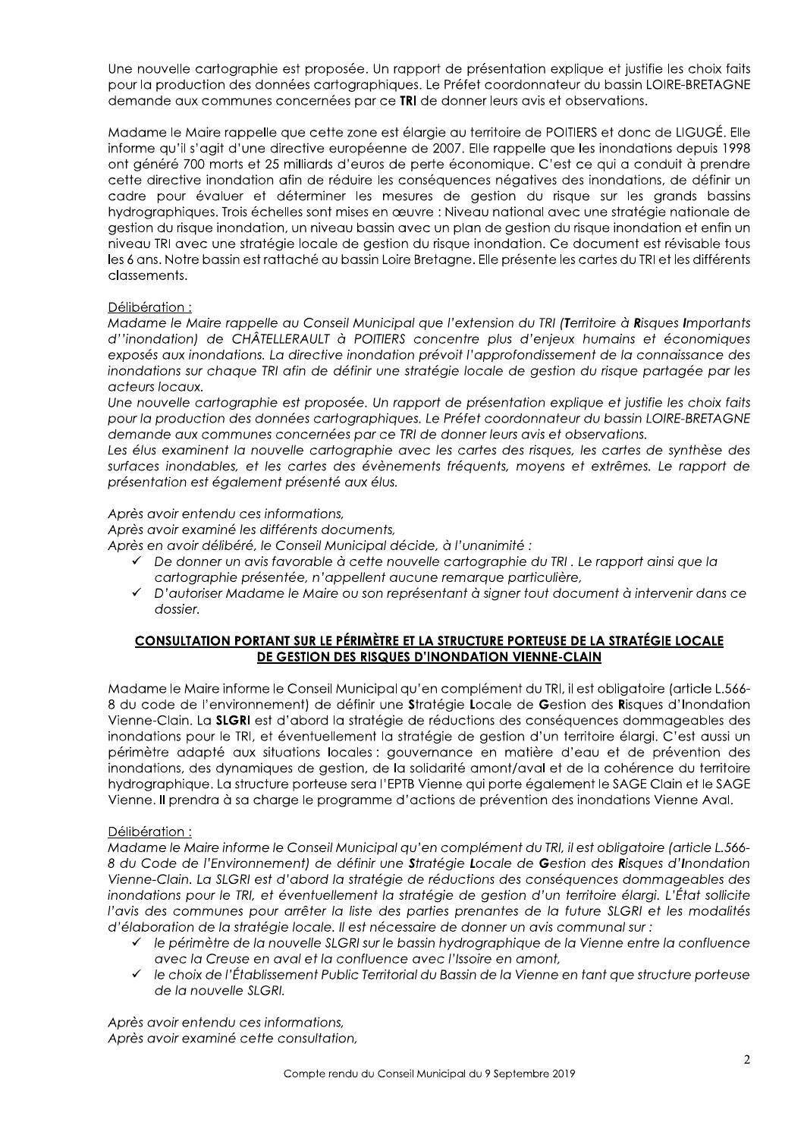Une nouvelle cartographie est proposée. Un rapport de présentation explique et justifie les choix faits pour la production des données cartographiques. Le Préfet coordonnateur du bassin LOIRE-BRETAGNE demande aux communes concernées par ce TRI de donner leurs avis et observations.

Madame le Maire rappelle que cette zone est élargie au territoire de POITIERS et donc de LIGUGÉ. Elle informe qu'il s'agit d'une directive européenne de 2007. Elle rappelle que les inondations depuis 1998 ont généré 700 morts et 25 milliards d'euros de perte économique. C'est ce qui a conduit à prendre cette directive inondation afin de réduire les conséquences négatives des inondations, de définir un cadre pour évaluer et déterminer les mesures de gestion du risque sur les grands bassins hydrographiques. Trois échelles sont mises en œuvre : Niveau national avec une stratégie nationale de gestion du risque inondation, un niveau bassin avec un plan de gestion du risque inondation et enfin un niveau TRI avec une stratégie locale de gestion du risque inondation. Ce document est révisable tous les 6 ans. Notre bassin est rattaché au bassin Loire Bretagne. Elle présente les cartes du TRI et les différents classements.

## Délibération:

Madame le Maire rappelle au Conseil Municipal que l'extension du TRI (Territoire à Risques Importants d''inondation) de CHÂTELLERAULT à POITIERS concentre plus d'enjeux humains et économiques exposés aux inondations. La directive inondation prévoit l'approfondissement de la connaissance des inondations sur chaque TRI afin de définir une stratégie locale de gestion du risque partagée par les acteurs locaux.

Une nouvelle cartographie est proposée. Un rapport de présentation explique et justifie les choix faits pour la production des données cartographiques. Le Préfet coordonnateur du bassin LOIRE-BRETAGNE demande aux communes concernées par ce TRI de donner leurs avis et observations.

Les élus examinent la nouvelle cartographie avec les cartes des risques, les cartes de synthèse des surfaces inondables, et les cartes des évènements fréquents, moyens et extrêmes. Le rapport de présentation est également présenté aux élus.

#### Après avoir entendu ces informations,

Après avoir examiné les différents documents,

Après en avoir délibéré, le Conseil Municipal décide, à l'unanimité :

- $\checkmark$  De donner un avis favorable à cette nouvelle cartoaraphie du TRI, Le rapport ainsi aue la cartographie présentée, n'appellent aucune remarque particulière,
- D'autoriser Madame le Maire ou son représentant à signer tout document à intervenir dans ce  $\checkmark$ dossier.

## CONSULTATION PORTANT SUR LE PÉRIMÈTRE ET LA STRUCTURE PORTEUSE DE LA STRATÉGIE LOCALE DE GESTION DES RISQUES D'INONDATION VIENNE-CLAIN

Madame le Maire informe le Conseil Municipal qu'en complément du TRI, il est obligatoire (article L.566-8 du code de l'environnement) de définir une Stratégie Locale de Gestion des Risques d'Inondation Vienne-Clain. La SLGRI est d'abord la stratégie de réductions des conséquences dommageables des inondations pour le TRI, et éventuellement la stratégie de gestion d'un territoire élargi. C'est aussi un périmètre adapté aux situations locales : gouvernance en matière d'eau et de prévention des inondations, des dynamiques de gestion, de la solidarité amont/aval et de la cohérence du territoire hydrographique. La structure porteuse sera l'EPTB Vienne qui porte également le SAGE Clain et le SAGE Vienne. Il prendra à sa charge le programme d'actions de prévention des inondations Vienne Aval.

## Délibération:

Madame le Maire informe le Conseil Municipal qu'en complément du TRI, il est obligatoire (article L.566-8 du Code de l'Environnement) de définir une Stratégie Locale de Gestion des Risques d'Inondation Vienne-Clain. La SLGRI est d'abord la stratégie de réductions des conséquences dommageables des inondations pour le TRI, et éventuellement la stratégie de gestion d'un territoire élargi. L'État sollicite l'avis des communes pour arrêter la liste des parties prenantes de la future SLGRI et les modalités d'élaboration de la stratégie locale. Il est nécessaire de donner un avis communal sur :

- le périmètre de la nouvelle SLGRI sur le bassin hydrographique de la Vienne entre la confluence avec la Creuse en aval et la confluence avec l'Issoire en amont,
- $\checkmark$  le choix de l'Établissement Public Territorial du Bassin de la Vienne en tant que structure porteuse de la nouvelle SLGRI.

Après avoir entendu ces informations, Après avoir examiné cette consultation,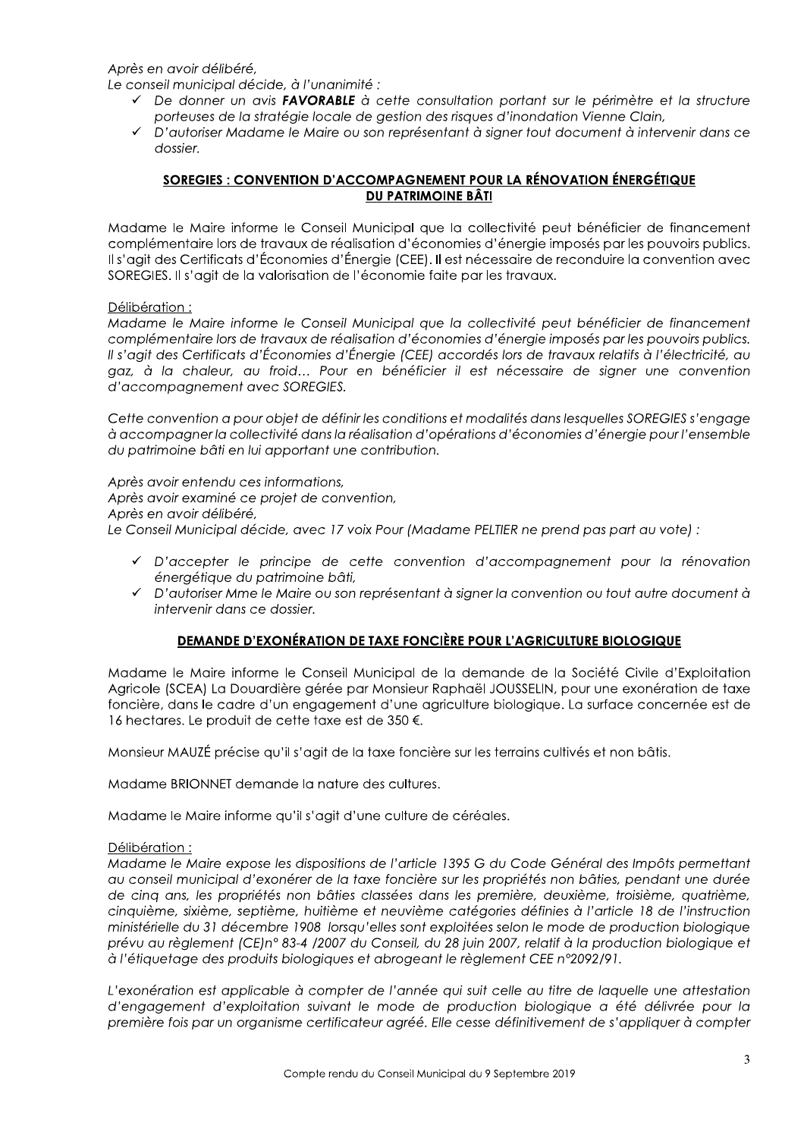Après en avoir délibéré.

Le conseil municipal décide, à l'unanimité :

- De donner un avis FAVORABLE à cette consultation portant sur le périmètre et la structure porteuses de la stratégie locale de gestion des risques d'inondation Vienne Clain,
- √ D'autoriser Madame le Maire ou son représentant à signer tout document à intervenir dans ce dossier.

## SOREGIES : CONVENTION D'ACCOMPAGNEMENT POUR LA RÉNOVATION ÉNERGÉTIQUE **DU PATRIMOINE BÂTI**

Madame le Maire informe le Conseil Municipal que la collectivité peut bénéficier de financement complémentaire lors de travaux de réalisation d'économies d'énergie imposés par les pouvoirs publics. Il s'agit des Certificats d'Économies d'Énergie (CEE). Il est nécessaire de reconduire la convention avec SOREGIES. Il s'agit de la valorisation de l'économie faite par les travaux.

## Délibération:

Madame le Maire informe le Conseil Municipal que la collectivité peut bénéficier de financement complémentaire lors de travaux de réalisation d'économies d'énergie imposés par les pouvoirs publics. Il s'agit des Certificats d'Économies d'Énergie (CEE) accordés lors de travaux relatifs à l'électricité, au gaz, à la chaleur, au froid... Pour en bénéficier il est nécessaire de signer une convention d'accompagnement avec SOREGIES.

Cette convention a pour objet de définir les conditions et modalités dans lesquelles SOREGIES s'engage à accompagner la collectivité dans la réalisation d'opérations d'économies d'énergie pour l'ensemble du patrimoine bâti en lui apportant une contribution.

Après avoir entendu ces informations, Après avoir examiné ce projet de convention, Après en avoir délibéré, Le Conseil Municipal décide, avec 17 voix Pour (Madame PELTIER ne prend pas part au vote) :

- D'accepter le principe de cette convention d'accompagnement pour la rénovation énergétique du patrimoine bâti,
- D'autoriser Mme le Maire ou son représentant à signer la convention ou tout autre document à intervenir dans ce dossier.

## **DEMANDE D'EXONÉRATION DE TAXE FONCIÈRE POUR L'AGRICULTURE BIOLOGIQUE**

Madame le Maire informe le Conseil Municipal de la demande de la Société Civile d'Exploitation Agricole (SCEA) La Douardière gérée par Monsieur Raphaël JOUSSELIN, pour une exonération de taxe foncière, dans le cadre d'un engagement d'une agriculture biologique. La surface concernée est de 16 hectares. Le produit de cette taxe est de 350 €.

Monsieur MAUZÉ précise qu'il s'agit de la taxe foncière sur les terrains cultivés et non bâtis.

Madame BRIONNET demande la nature des cultures.

Madame le Maire informe qu'il s'agit d'une culture de céréales.

## Délibération:

Madame le Maire expose les dispositions de l'article 1395 G du Code Général des Impôts permettant au conseil municipal d'exonérer de la taxe foncière sur les propriétés non bâties, pendant une durée de cinq ans, les propriétés non bâties classées dans les première, deuxième, troisième, quatrième, cinquième, sixième, septième, huitième et neuvième catégories définies à l'article 18 de l'instruction ministérielle du 31 décembre 1908 lorsqu'elles sont exploitées selon le mode de production biologique prévu au règlement (CE)n° 83-4 /2007 du Conseil, du 28 juin 2007, relatif à la production biologique et à l'étiquetage des produits biologiques et abrogeant le règlement CEE n°2092/91.

L'exonération est applicable à compter de l'année qui suit celle au titre de laquelle une attestation d'engagement d'exploitation suivant le mode de production biologique a été délivrée pour la première fois par un organisme certificateur agréé. Elle cesse définitivement de s'appliquer à compter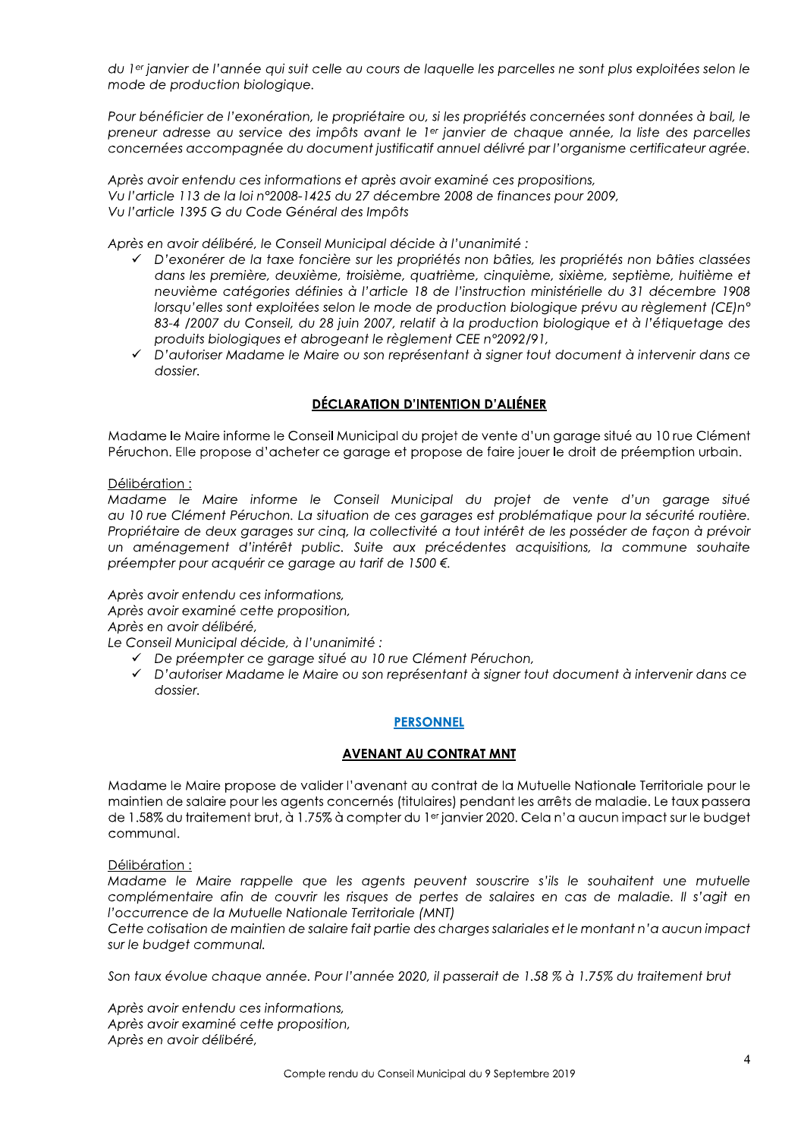du 1<sup>er</sup> janvier de l'année qui suit celle au cours de laquelle les parcelles ne sont plus exploitées selon le mode de production biologique.

Pour bénéficier de l'exonération, le propriétaire ou, si les propriétés concernées sont données à bail, le preneur adresse au service des impôts avant le 1er janvier de chaque année, la liste des parcelles concernées accompagnée du document justificatif annuel délivré par l'organisme certificateur agrée.

Après avoir entendu ces informations et après avoir examiné ces propositions, Vu l'article 113 de la loi n°2008-1425 du 27 décembre 2008 de finances pour 2009, Vu l'article 1395 G du Code Général des Impôts

Après en avoir délibéré, le Conseil Municipal décide à l'unanimité :

- √ D'exonérer de la taxe foncière sur les propriétés non bâties, les propriétés non bâties classées dans les première, deuxième, troisième, quatrième, cinquième, sixième, septième, huitième et neuvième catégories définies à l'article 18 de l'instruction ministérielle du 31 décembre 1908 lorsau'elles sont exploitées selon le mode de production biologique prévu au règlement (CEIn° 83-4 /2007 du Conseil, du 28 juin 2007, relatif à la production biologique et à l'étiquetage des produits biologiques et abrogeant le règlement CEE n°2092/91,
- √ D'autoriser Madame le Maire ou son représentant à signer tout document à intervenir dans ce dossier.

# **DÉCLARATION D'INTENTION D'ALIÉNER**

Madame le Maire informe le Conseil Municipal du projet de vente d'un garage situé au 10 rue Clément Péruchon. Elle propose d'acheter ce garage et propose de faire jouer le droit de préemption urbain.

## Délibération:

Madame le Maire informe le Conseil Municipal du projet de vente d'un garage situé au 10 rue Clément Péruchon. La situation de ces garages est problématique pour la sécurité routière. Propriétaire de deux garages sur cinq, la collectivité a tout intérêt de les posséder de façon à prévoir un aménagement d'intérêt public. Suite aux précédentes acquisitions, la commune souhaite préempter pour acquérir ce garage au tarif de 1500 €.

Après avoir entendu ces informations,

Après avoir examiné cette proposition,

Après en avoir délibéré,

Le Conseil Municipal décide, à l'unanimité :

- ← De préempter ce garage situé au 10 rue Clément Péruchon,
- √ D'autoriser Madame le Maire ou son représentant à signer tout document à intervenir dans ce dossier.

#### **PERSONNEL**

## **AVENANT AU CONTRAT MNT**

Madame le Maire propose de valider l'avenant au contrat de la Mutuelle Nationale Territoriale pour le maintien de salaire pour les agents concernés (titulaires) pendant les arrêts de maladie. Le taux passera de 1.58% du traitement brut, à 1.75% à compter du 1er janvier 2020. Cela n'a aucun impact sur le budget communal.

Délibération:

Madame le Maire rappelle que les agents peuvent souscrire s'ils le souhaitent une mutuelle complémentaire afin de couvrir les risques de pertes de salaires en cas de maladie. Il s'agit en l'occurrence de la Mutuelle Nationale Territoriale (MNT)

Cette cotisation de maintien de salaire fait partie des charges salariales et le montant n'a aucun impact sur le budget communal.

Son taux évolue chaque année. Pour l'année 2020, il passerait de 1.58 % à 1.75% du traitement brut

Après avoir entendu ces informations, Après avoir examiné cette proposition, Après en avoir délibéré,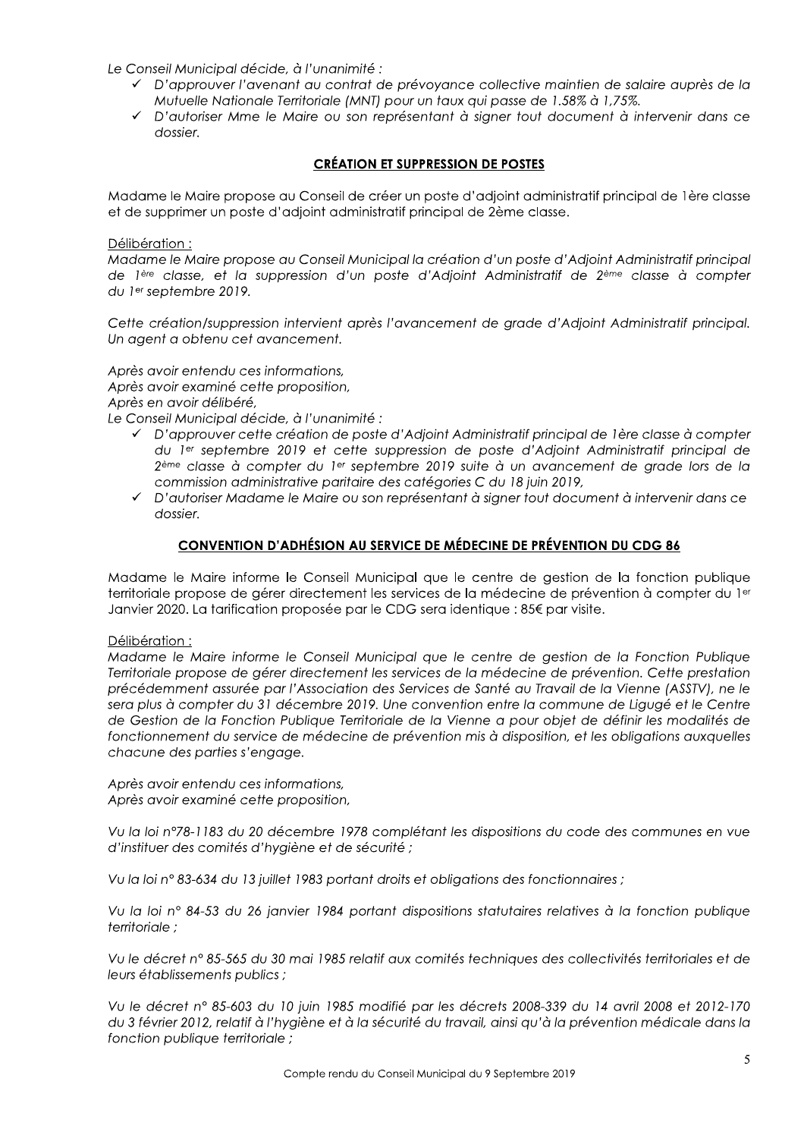Le Conseil Municipal décide, à l'unanimité :

- √ D'approuver l'avenant au contrat de prévoyance collective maintien de salaire auprès de la Mutuelle Nationale Territoriale (MNT) pour un taux qui passe de 1.58% à 1,75%.
- √ D'autoriser Mme le Maire ou son représentant à signer tout document à intervenir dans ce dossier.

## **CRÉATION ET SUPPRESSION DE POSTES**

Madame le Maire propose au Conseil de créer un poste d'adjoint administratif principal de 1ère classe et de supprimer un poste d'adjoint administratif principal de 2ème classe.

Délibération:

Madame le Maire propose au Conseil Municipal la création d'un poste d'Adjoint Administratif principal de lère classe, et la suppression d'un poste d'Adioint Administratif de 2<sup>ème</sup> classe à compter du 1<sup>er</sup> septembre 2019.

Cette création/suppression intervient après l'avancement de grade d'Adjoint Administratif principal. Un agent a obtenu cet avancement.

Après avoir entendu ces informations, Après avoir examiné cette proposition, Après en avoir délibéré,

Le Conseil Municipal décide, à l'unanimité :

- √ D'approuver cette création de poste d'Adjoint Administratif principal de 1ère classe à compter du ler septembre 2019 et cette suppression de poste d'Adjoint Administratif principal de 2<sup>ème</sup> classe à compter du 1<sup>er</sup> septembre 2019 suite à un avancement de grade lors de la commission administrative paritaire des catégories C du 18 juin 2019,
- D'autoriser Madame le Maire ou son représentant à signer tout document à intervenir dans ce dossier.

## **CONVENTION D'ADHÉSION AU SERVICE DE MÉDECINE DE PRÉVENTION DU CDG 86**

Madame le Maire informe le Conseil Municipal que le centre de gestion de la fonction publique territoriale propose de gérer directement les services de la médecine de prévention à compter du 1<sup>er</sup> Janvier 2020. La tarification proposée par le CDG sera identique : 85€ par visite.

#### Délibération :

Madame le Maire informe le Conseil Municipal que le centre de gestion de la Fonction Publique Territoriale propose de gérer directement les services de la médecine de prévention. Cette prestation précédemment assurée par l'Association des Services de Santé au Travail de la Vienne (ASSTV), ne le sera plus à compter du 31 décembre 2019. Une convention entre la commune de Ligugé et le Centre de Gestion de la Fonction Publiaue Territoriale de la Vienne a pour obiet de définir les modalités de fonctionnement du service de médecine de prévention mis à disposition, et les obligations auxquelles chacune des parties s'engage.

Après avoir entendu ces informations, Après avoir examiné cette proposition,

Vu la loi n°78-1183 du 20 décembre 1978 complétant les dispositions du code des communes en vue d'instituer des comités d'hygiène et de sécurité ;

Vu la loi nº 83-634 du 13 juillet 1983 portant droits et obligations des fonctionnaires ;

Vu la loi nº 84-53 du 26 janvier 1984 portant dispositions statutaires relatives à la fonction publique territoriale:

Vu le décret n° 85-565 du 30 mai 1985 relatif aux comités techniques des collectivités territoriales et de leurs établissements publics ;

Vu le décret nº 85-603 du 10 juin 1985 modifié par les décrets 2008-339 du 14 avril 2008 et 2012-170 du 3 février 2012, relatif à l'hygiène et à la sécurité du travail, ainsi qu'à la prévention médicale dans la fonction publique territoriale;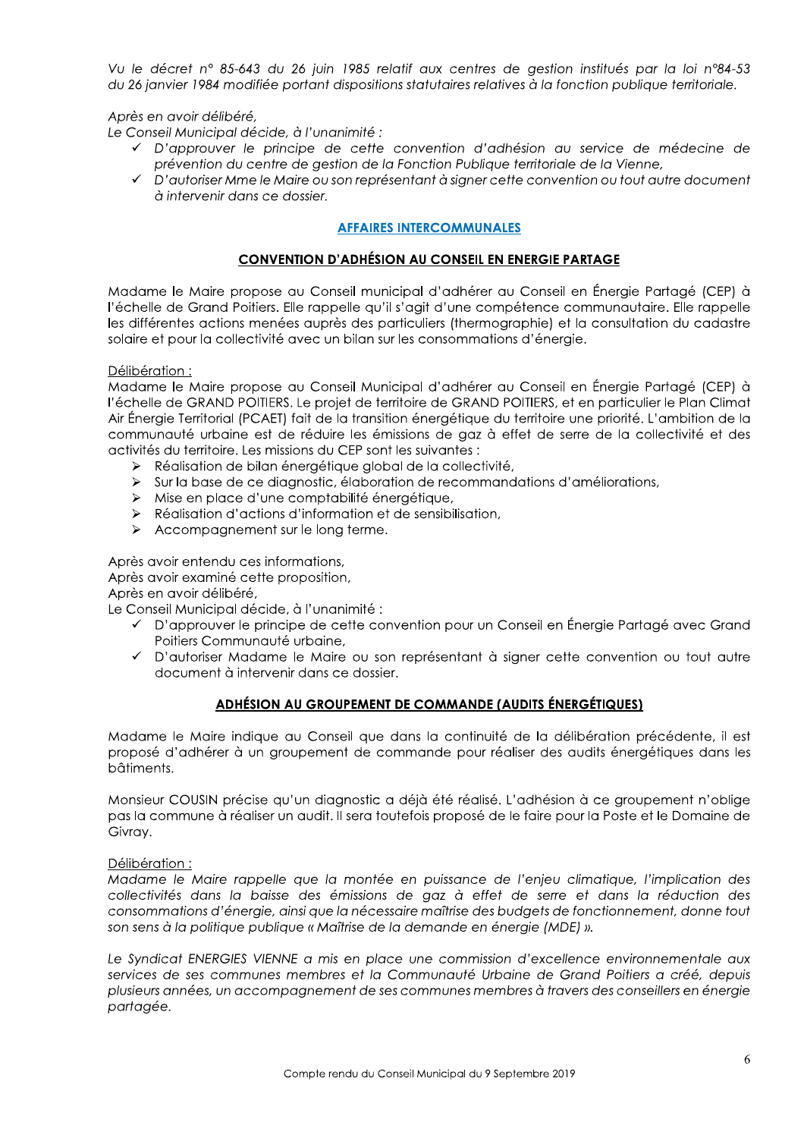Vu le décret n° 85-643 du 26 juin 1985 relatif aux centres de aestion institués par la loi n°84-53 du 26 janvier 1984 modifiée portant dispositions statutaires relatives à la fonction publique territoriale.

Après en avoir délibéré,

Le Conseil Municipal décide, à l'unanimité :

- √ D'approuver le principe de cette convention d'adhésion au service de médecine de prévention du centre de gestion de la Fonction Publique territoriale de la Vienne,
- V D'autoriser Mme le Maire ou son représentant à signer cette convention ou tout autre document à intervenir dans ce dossier.

## **AFFAIRES INTERCOMMUNALES**

# **CONVENTION D'ADHÉSION AU CONSEIL EN ENERGIE PARTAGE**

Madame le Maire propose au Conseil municipal d'adhérer au Conseil en Énergie Partagé (CEP) à l'échelle de Grand Poitiers. Elle rappelle qu'il s'agit d'une compétence communautaire. Elle rappelle les différentes actions menées auprès des particuliers (thermographie) et la consultation du cadastre solaire et pour la collectivité avec un bilan sur les consommations d'énergie.

#### Délibération:

Madame le Maire propose au Conseil Municipal d'adhérer au Conseil en Énergie Partagé (CEP) à l'échelle de GRAND POITIERS. Le projet de territoire de GRAND POITIERS, et en particulier le Plan Climat Air Énergie Territorial (PCAET) fait de la transition énergétique du territoire une priorité. L'ambition de la communauté urbaine est de réduire les émissions de gaz à effet de serre de la collectivité et des activités du territoire. Les missions du CEP sont les suivantes :

- Réalisation de bilan énergétique global de la collectivité,
- > Sur la base de ce diagnostic, élaboration de recommandations d'améliorations,
- > Mise en place d'une comptabilité énergétique,
- > Réalisation d'actions d'information et de sensibilisation,
- $\triangleright$  Accompagnement sur le long terme.

Après avoir entendu ces informations,

Après avoir examiné cette proposition,

Après en avoir délibéré,

Le Conseil Municipal décide, à l'unanimité :

- ✓ D'approuver le principe de cette convention pour un Conseil en Énergie Partagé avec Grand Poitiers Communauté urbaine,
- √ D'autoriser Madame le Maire ou son représentant à signer cette convention ou tout autre document à intervenir dans ce dossier.

## ADHÉSION AU GROUPEMENT DE COMMANDE (AUDITS ÉNERGÉTIQUES)

Madame le Maire indique au Conseil que dans la continuité de la délibération précédente, il est proposé d'adhérer à un groupement de commande pour réaliser des audits énergétiques dans les bâtiments.

Monsieur COUSIN précise qu'un diagnostic a déjà été réalisé. L'adhésion à ce groupement n'oblige pas la commune à réaliser un audit. Il sera toutefois proposé de le faire pour la Poste et le Domaine de Givray.

#### Délibération:

Madame le Maire rappelle que la montée en puissance de l'enjeu climatique, l'implication des collectivités dans la baisse des émissions de gaz à effet de serre et dans la réduction des consommations d'énergie, ginsi que la nécessaire maîtrise des budgets de fonctionnement, donne tout son sens à la politique publique « Maîtrise de la demande en énergie (MDE) ».

Le Syndicat ENERGIES VIENNE a mis en place une commission d'excellence environnementale aux services de ses communes membres et la Communauté Urbaine de Grand Poitiers a créé, depuis plusieurs années, un accompagnement de ses communes membres à travers des conseillers en énergie partagée.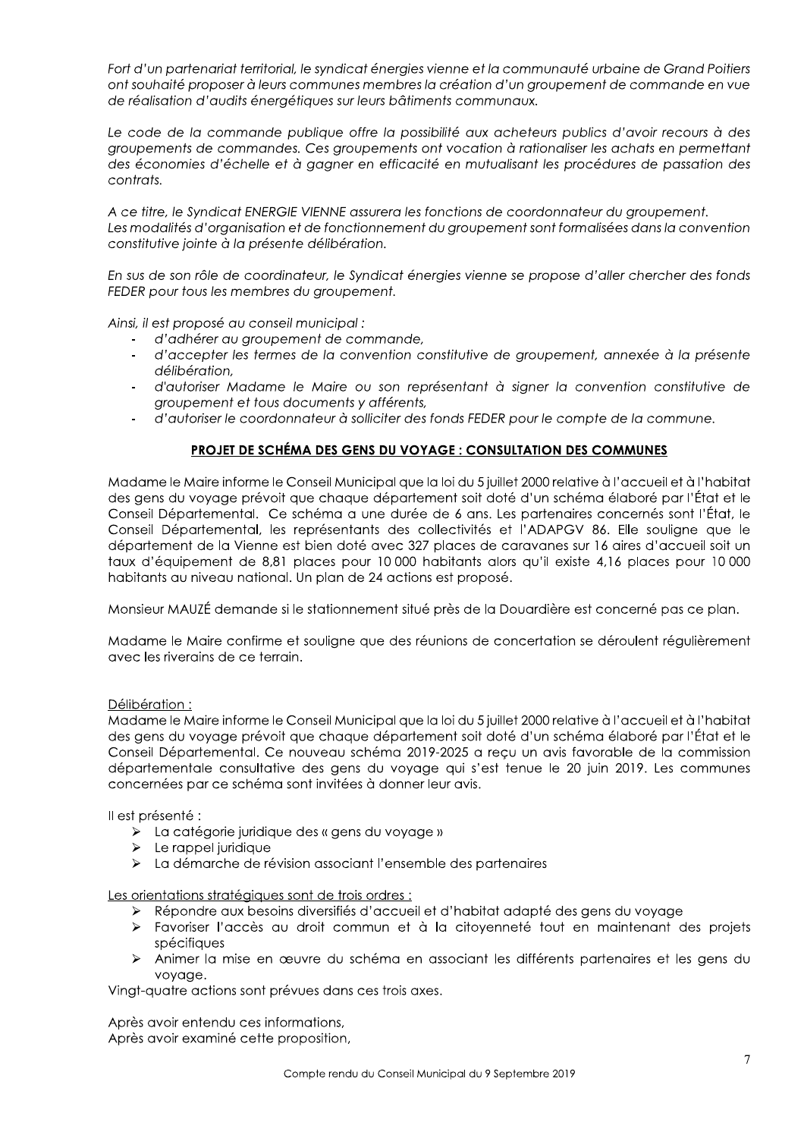Fort d'un partenariat territorial, le syndicat énergies vienne et la communauté urbaine de Grand Poitiers ont souhaité proposer à leurs communes membres la création d'un groupement de commande en vue de réalisation d'audits énergétiques sur leurs bâtiments communaux.

Le code de la commande publique offre la possibilité aux acheteurs publics d'avoir recours à des groupements de commandes. Ces groupements ont vocation à rationaliser les achats en permettant des économies d'échelle et à gagner en efficacité en mutualisant les procédures de passation des contrats.

A ce titre, le Syndicat ENERGIE VIENNE assurera les fonctions de coordonnateur du groupement. Les modalités d'organisation et de fonctionnement du groupement sont formalisées dans la convention constitutive jointe à la présente délibération.

En sus de son rôle de coordinateur, le Syndicat énergies vienne se propose d'aller chercher des fonds FEDER pour tous les membres du groupement.

Ainsi, il est proposé au conseil municipal :

- d'adhérer au groupement de commande,
- d'accepter les termes de la convention constitutive de groupement, annexée à la présente délibération,
- d'autoriser Madame le Maire ou son représentant à sianer la convention constitutive de groupement et tous documents y afférents,
- d'autoriser le coordonnateur à solliciter des fonds FEDER pour le compte de la commune.

## PROJET DE SCHÉMA DES GENS DU VOYAGE : CONSULTATION DES COMMUNES

Madame le Maire informe le Conseil Municipal que la loi du 5 juillet 2000 relative à l'accueil et à l'habitat des gens du voyage prévoit que chaque département soit doté d'un schéma élaboré par l'État et le Conseil Départemental. Ce schéma a une durée de 6 ans. Les partenaires concernés sont l'État, le Conseil Départemental, les représentants des collectivités et l'ADAPGV 86. Elle souligne que le département de la Vienne est bien doté avec 327 places de caravanes sur 16 aires d'accueil soit un taux d'équipement de 8,81 places pour 10 000 habitants alors qu'il existe 4,16 places pour 10 000 habitants au niveau national. Un plan de 24 actions est proposé.

Monsieur MAUZÉ demande si le stationnement situé près de la Douardière est concerné pas ce plan.

Madame le Maire confirme et souligne que des réunions de concertation se déroulent régulièrement avec les riverains de ce terrain.

#### Délibération:

Madame le Maire informe le Conseil Municipal que la loi du 5 juillet 2000 relative à l'accueil et à l'habitat des gens du voyage prévoit que chaque département soit doté d'un schéma élaboré par l'État et le Conseil Départemental. Ce nouveau schéma 2019-2025 a reçu un avis favorable de la commission départementale consultative des gens du voyage qui s'est tenue le 20 juin 2019. Les communes concernées par ce schéma sont invitées à donner leur avis.

Il est présenté :

- > La catégorie juridique des « gens du voyage »
- $\triangleright$  Le rappel juridique
- > La démarche de révision associant l'ensemble des partenaires

Les orientations stratégiques sont de trois ordres :

- ≻ Répondre aux besoins diversifiés d'accueil et d'habitat adapté des gens du voyage
- > Favoriser l'accès au droit commun et à la citoyenneté tout en maintenant des projets spécifiques
- > Animer la mise en œuvre du schéma en associant les différents partenaires et les gens du vovage.

Vingt-quatre actions sont prévues dans ces trois axes.

Après avoir entendu ces informations, Après avoir examiné cette proposition,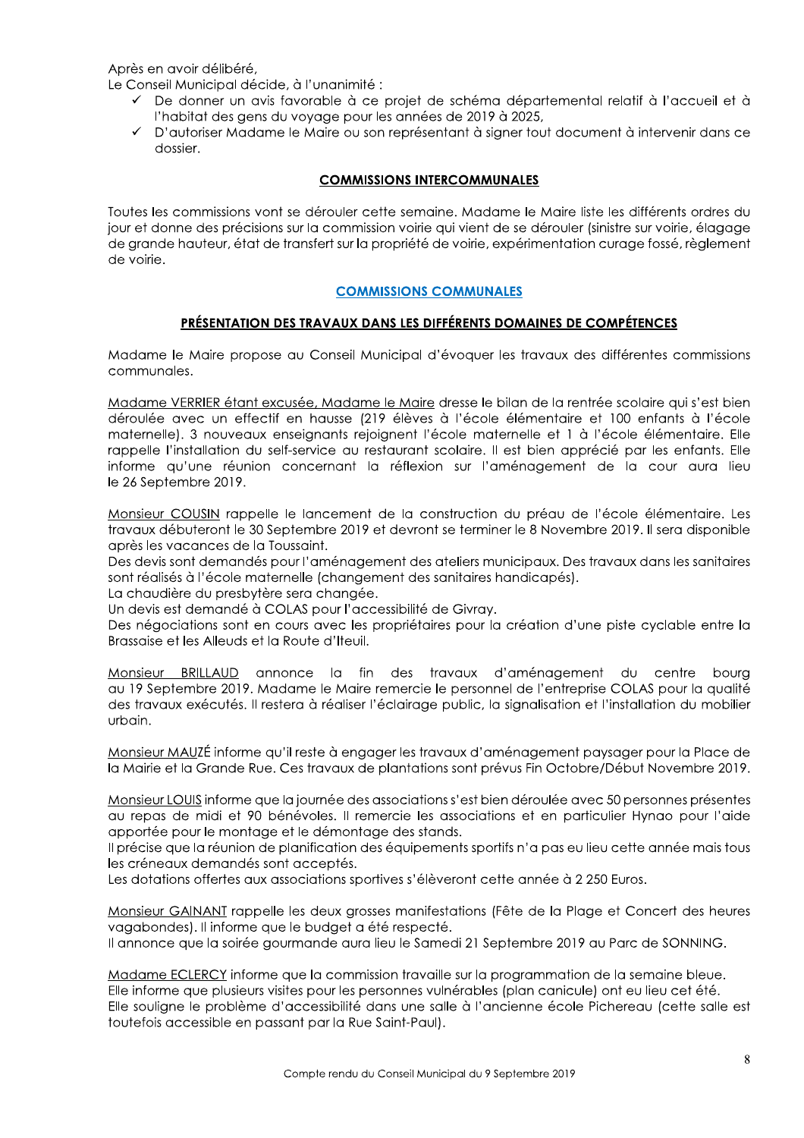Après en avoir délibéré.

Le Conseil Municipal décide, à l'unanimité :

- √ De donner un avis favorable à ce projet de schéma départemental relatif à l'accueil et à l'habitat des gens du voyage pour les années de 2019 à 2025,
- √ D'autoriser Madame le Maire ou son représentant à signer tout document à intervenir dans ce dossier.

## **COMMISSIONS INTERCOMMUNALES**

Toutes les commissions vont se dérouler cette semaine. Madame le Maire liste les différents ordres du jour et donne des précisions sur la commission voirie qui vient de se dérouler (sinistre sur voirie, élagage de grande hauteur, état de transfert sur la propriété de voirie, expérimentation curage fossé, règlement de voirie.

## **COMMISSIONS COMMUNALES**

## **PRÉSENTATION DES TRAVAUX DANS LES DIFFÉRENTS DOMAINES DE COMPÉTENCES**

Madame le Maire propose au Conseil Municipal d'évoquer les travaux des différentes commissions communales.

Madame VERRIER étant excusée, Madame le Maire dresse le bilan de la rentrée scolaire qui s'est bien déroulée avec un effectif en hausse (219 élèves à l'école élémentaire et 100 enfants à l'école maternelle). 3 nouveaux enseignants rejoignent l'école maternelle et 1 à l'école élémentaire. Elle rappelle l'installation du self-service au restaurant scolaire. Il est bien apprécié par les enfants. Elle informe qu'une réunion concernant la réflexion sur l'aménagement de la cour aura lieu le 26 Septembre 2019.

Monsieur COUSIN rappelle le lancement de la construction du préau de l'école élémentaire. Les travaux débuteront le 30 Septembre 2019 et devront se terminer le 8 Novembre 2019. Il sera disponible après les vacances de la Toussaint.

Des devis sont demandés pour l'aménagement des ateliers municipaux. Des travaux dans les sanitaires sont réalisés à l'école maternelle (changement des sanitaires handicapés).

La chaudière du presbytère sera changée.

Un devis est demandé à COLAS pour l'accessibilité de Givray.

Des négociations sont en cours avec les propriétaires pour la création d'une piste cyclable entre la Brassaise et les Alleuds et la Route d'Iteuil.

Monsieur BRILLAUD annonce la fin des travaux d'aménagement du centre bourg au 19 Septembre 2019. Madame le Maire remercie le personnel de l'entreprise COLAS pour la qualité des travaux exécutés. Il restera à réaliser l'éclairage public, la signalisation et l'installation du mobilier urbain.

Monsieur MAUZÉ informe qu'il reste à engager les travaux d'aménagement paysager pour la Place de la Mairie et la Grande Rue. Ces travaux de plantations sont prévus Fin Octobre/Début Novembre 2019.

Monsieur LOUIS informe que la journée des associations s'est bien déroulée avec 50 personnes présentes au repas de midi et 90 bénévoles. Il remercie les associations et en particulier Hynao pour l'aide apportée pour le montage et le démontage des stands.

Il précise que la réunion de planification des équipements sportifs n'a pas eu lieu cette année mais tous les créneaux demandés sont acceptés.

Les dotations offertes aux associations sportives s'élèveront cette année à 2 250 Euros.

Monsieur GAINANT rappelle les deux arosses manifestations (Fête de la Plage et Concert des heures vagabondes). Il informe que le budget a été respecté.

Il annonce que la soirée gourmande aura lieu le Samedi 21 Septembre 2019 au Parc de SONNING.

Madame ECLERCY informe que la commission travaille sur la programmation de la semaine bleue. Elle informe que plusieurs visites pour les personnes vulnérables (plan canicule) ont eu lieu cet été. Elle souligne le problème d'accessibilité dans une salle à l'ancienne école Pichereau (cette salle est toutefois accessible en passant par la Rue Saint-Paul).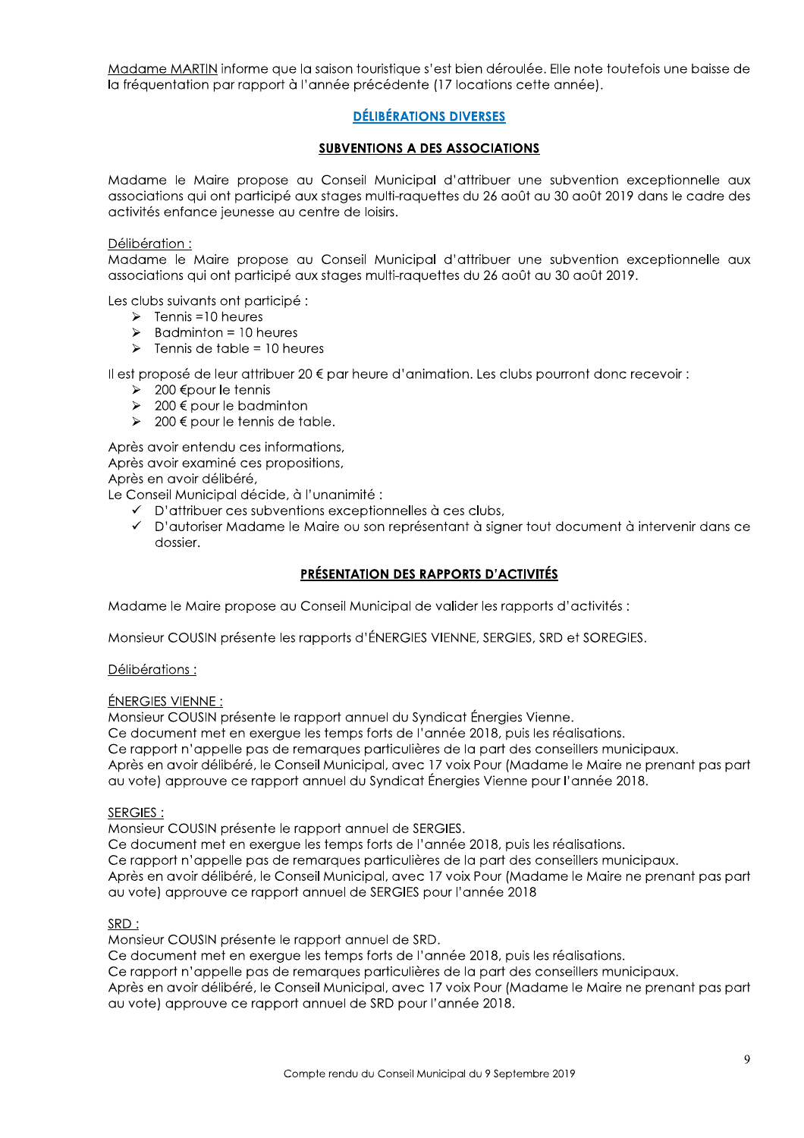Madame MARTIN informe que la saison touristique s'est bien déroulée. Elle note toutefois une baisse de la fréquentation par rapport à l'année précédente (17 locations cette année).

# **DÉLIBÉRATIONS DIVERSES**

## **SUBVENTIONS A DES ASSOCIATIONS**

Madame le Maire propose au Conseil Municipal d'attribuer une subvention exceptionnelle aux associations qui ont participé aux stages multi-raquettes du 26 août au 30 août 2019 dans le cadre des activités enfance jeunesse au centre de loisirs.

Délibération:

Madame le Maire propose au Conseil Municipal d'attribuer une subvention exceptionnelle aux associations qui ont participé qux stages multi-raquettes du 26 goût qu 30 goût 2019.

Les clubs suivants ont participé :

- $\triangleright$  Tennis =10 heures
- $\blacktriangleright$ Badminton = 10 heures
- Tennis de table = 10 heures  $\blacktriangleright$

Il est proposé de leur attribuer 20 € par heure d'animation. Les clubs pourront donc recevoir :

- > 200 € pour le tennis
- > 200 € pour le badminton
- > 200 € pour le tennis de table.

Après avoir entendu ces informations, Après avoir examiné ces propositions, Après en avoir délibéré,

Le Conseil Municipal décide, à l'unanimité :

- ← D'attribuer ces subventions exceptionnelles à ces clubs,
- √ D'autoriser Madame le Maire ou son représentant à signer tout document à intervenir dans ce dossier.

## PRÉSENTATION DES RAPPORTS D'ACTIVITÉS

Madame le Maire propose au Conseil Municipal de valider les rapports d'activités :

Monsieur COUSIN présente les rapports d'ÉNERGIES VIENNE, SERGIES, SRD et SOREGIES.

Délibérations :

#### ÉNERGIES VIENNE :

Monsieur COUSIN présente le rapport annuel du Syndicat Énergies Vienne.

Ce document met en exerque les temps forts de l'année 2018, puis les réalisations.

Ce rapport n'appelle pas de remarques particulières de la part des conseillers municipaux.

Après en avoir délibéré, le Conseil Municipal, avec 17 voix Pour (Madame le Maire ne prenant pas part au vote) approuve ce rapport annuel du Syndicat Énergies Vienne pour l'année 2018.

#### SERGIES:

Monsieur COUSIN présente le rapport annuel de SERGIES.

Ce document met en exergue les temps forts de l'année 2018, puis les réalisations.

Ce rapport n'appelle pas de remarques particulières de la part des conseillers municipaux.

Après en avoir délibéré, le Conseil Municipal, avec 17 voix Pour (Madame le Maire ne prenant pas part au vote) approuve ce rapport annuel de SERGIES pour l'année 2018

#### SRD:

Monsieur COUSIN présente le rapport annuel de SRD.

Ce document met en exerque les temps forts de l'année 2018, puis les réalisations.

Ce rapport n'appelle pas de remarques particulières de la part des conseillers municipaux.

Après en avoir délibéré, le Conseil Municipal, avec 17 voix Pour (Madame le Maire ne prenant pas part au vote) approuve ce rapport annuel de SRD pour l'année 2018.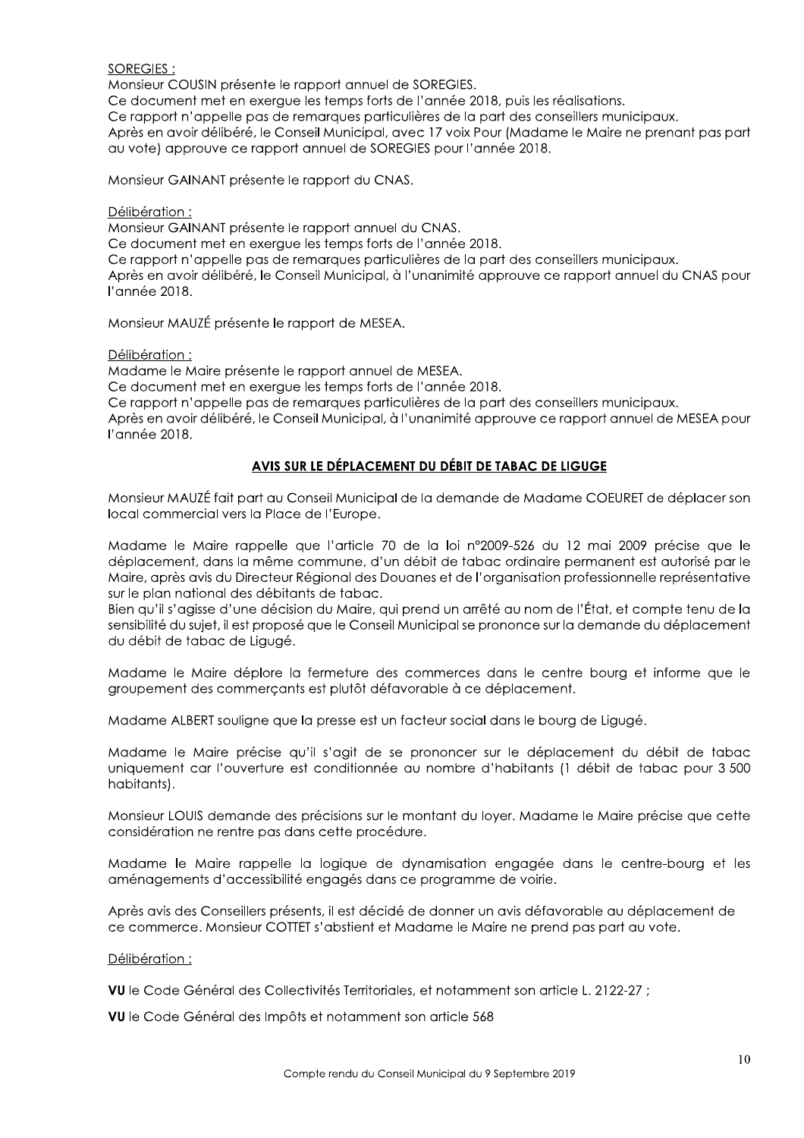**SOREGIES:** 

Monsieur COUSIN présente le rapport annuel de SOREGIES.

Ce document met en exergue les temps forts de l'année 2018, puis les réalisations.

Ce rapport n'appelle pas de remarques particulières de la part des conseillers municipaux.

Après en avoir délibéré, le Conseil Municipal, avec 17 voix Pour (Madame le Maire ne prenant pas part au vote) approuve ce rapport annuel de SOREGIES pour l'année 2018.

Monsieur GAINANT présente le rapport du CNAS.

Délibération:

Monsieur GAINANT présente le rapport annuel du CNAS.

Ce document met en exergue les temps forts de l'année 2018.

Ce rapport n'appelle pas de remarques particulières de la part des conseillers municipaux.

Après en avoir délibéré, le Conseil Municipal, à l'unanimité approuve ce rapport annuel du CNAS pour l'année 2018.

Monsieur MAUZÉ présente le rapport de MESEA.

Délibération:

Madame le Maire présente le rapport annuel de MESEA.

Ce document met en exerque les temps forts de l'année 2018.

Ce rapport n'appelle pas de remarques particulières de la part des conseillers municipaux.

Après en avoir délibéré, le Conseil Municipal, à l'unanimité approuve ce rapport annuel de MESEA pour l'année 2018.

# AVIS SUR LE DÉPLACEMENT DU DÉBIT DE TABAC DE LIGUGE

Monsieur MAUZÉ fait part au Conseil Municipal de la demande de Madame COEURET de déplacer son local commercial vers la Place de l'Europe.

Madame le Maire rappelle que l'article 70 de la loi n°2009-526 du 12 mai 2009 précise que le déplacement, dans la même commune, d'un débit de tabac ordinaire permanent est autorisé par le Maire, après avis du Directeur Régional des Douanes et de l'organisation professionnelle représentative sur le plan national des débitants de tabac.

Bien qu'il s'agisse d'une décision du Maire, qui prend un arrêté au nom de l'État, et compte tenu de la sensibilité du sujet, il est proposé que le Conseil Municipal se prononce sur la demande du déplacement du débit de tabac de Ligugé.

Madame le Maire déplore la fermeture des commerces dans le centre bourg et informe que le groupement des commercants est plutôt défavorable à ce déplacement.

Madame ALBERT souliane que la presse est un facteur social dans le boura de Liquaé.

Madame le Maire précise qu'il s'agit de se prononcer sur le déplacement du débit de tabac uniquement car l'ouverture est conditionnée au nombre d'habitants (1 débit de tabac pour 3 500 habitants).

Monsieur LOUIS demande des précisions sur le montant du loyer. Madame le Maire précise que cette considération ne rentre pas dans cette procédure.

Madame le Maire rappelle la logique de dynamisation engagée dans le centre-bourg et les aménagements d'accessibilité engagés dans ce programme de voirie.

Après avis des Conseillers présents, il est décidé de donner un avis défavorable au déplacement de ce commerce. Monsieur COTTET s'abstient et Madame le Maire ne prend pas part au vote.

#### Délibération:

VU le Code Général des Collectivités Territoriales, et notamment son article L. 2122-27 ;

VU le Code Général des Impôts et notamment son article 568